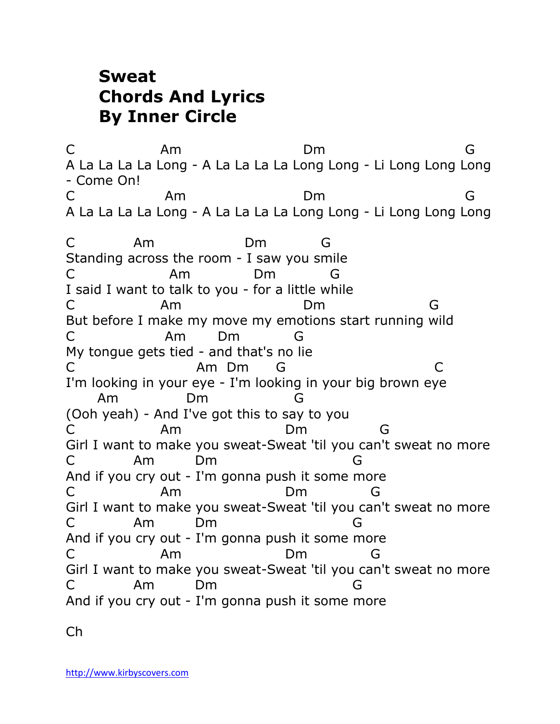## **Sweat Chords And Lyrics By Inner Circle**

C Am Dm G A La La La La Long - A La La La La Long Long - Li Long Long Long - Come On! C Am Dm G A La La La La Long - A La La La La Long Long - Li Long Long Long C Am Dm G Standing across the room - I saw you smile C Am Dm G I said I want to talk to you - for a little while C Am Dm G But before I make my move my emotions start running wild C Am Dm G My tongue gets tied - and that's no lie C Am Dm G C I'm looking in your eye - I'm looking in your big brown eye Am Dm G (Ooh yeah) - And I've got this to say to you C Am Dm G Girl I want to make you sweat-Sweat 'til you can't sweat no more C Am Dm G And if you cry out - I'm gonna push it some more C Am Dm G Girl I want to make you sweat-Sweat 'til you can't sweat no more C Am Dm G And if you cry out - I'm gonna push it some more C Am Dm G Girl I want to make you sweat-Sweat 'til you can't sweat no more C Am Dm G And if you cry out - I'm gonna push it some more